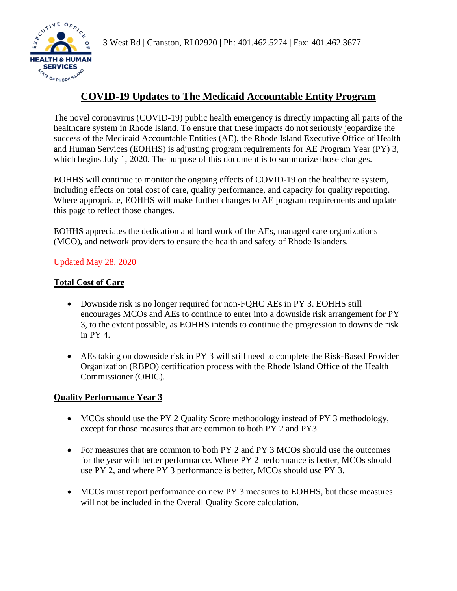**HEALTH & HUMAN SERVICES SERVICES** 

# **COVID-19 Updates to The Medicaid Accountable Entity Program**

The novel coronavirus (COVID-19) public health emergency is directly impacting all parts of the healthcare system in Rhode Island. To ensure that these impacts do not seriously jeopardize the success of the Medicaid Accountable Entities (AE), the Rhode Island Executive Office of Health and Human Services (EOHHS) is adjusting program requirements for AE Program Year (PY) 3, which begins July 1, 2020. The purpose of this document is to summarize those changes.

EOHHS will continue to monitor the ongoing effects of COVID-19 on the healthcare system, including effects on total cost of care, quality performance, and capacity for quality reporting. Where appropriate, EOHHS will make further changes to AE program requirements and update this page to reflect those changes.

EOHHS appreciates the dedication and hard work of the AEs, managed care organizations (MCO), and network providers to ensure the health and safety of Rhode Islanders.

## Updated May 28, 2020

## **Total Cost of Care**

- Downside risk is no longer required for non-FQHC AEs in PY 3. EOHHS still encourages MCOs and AEs to continue to enter into a downside risk arrangement for PY 3, to the extent possible, as EOHHS intends to continue the progression to downside risk in PY 4.
- AEs taking on downside risk in PY 3 will still need to complete the Risk-Based Provider Organization (RBPO) certification process with the Rhode Island Office of the Health Commissioner (OHIC).

### **Quality Performance Year 3**

- MCOs should use the PY 2 Quality Score methodology instead of PY 3 methodology, except for those measures that are common to both PY 2 and PY3.
- For measures that are common to both PY 2 and PY 3 MCOs should use the outcomes for the year with better performance. Where PY 2 performance is better, MCOs should use PY 2, and where PY 3 performance is better, MCOs should use PY 3.
- MCOs must report performance on new PY 3 measures to EOHHS, but these measures will not be included in the Overall Quality Score calculation.